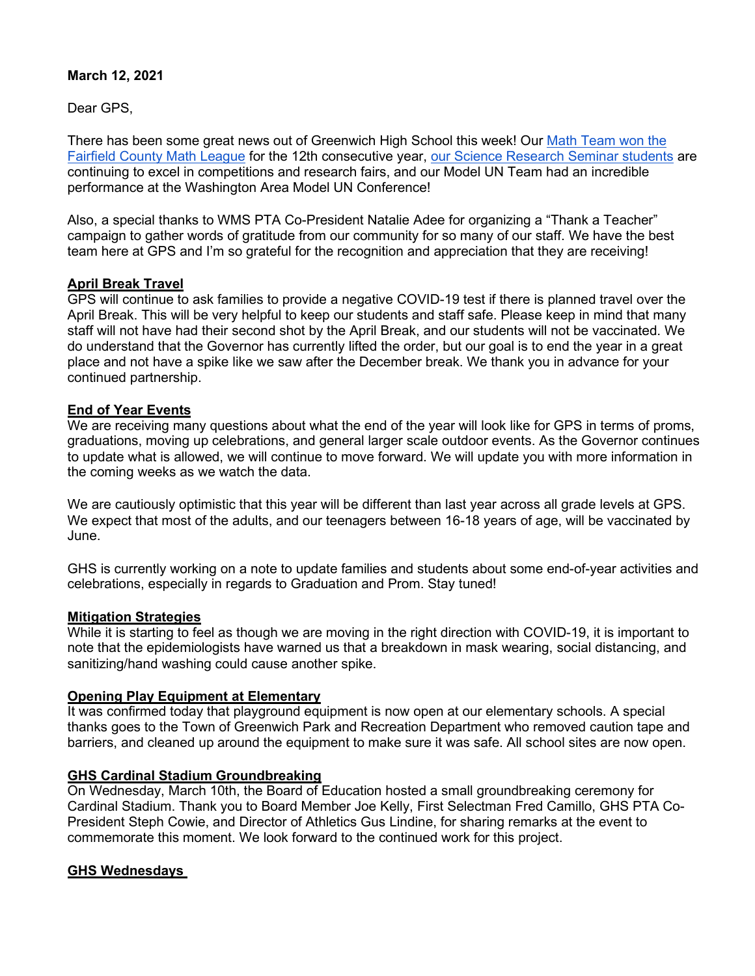# **March 12, 2021**

Dear GPS,

There has been some great news out of Greenwich High School this week! Our Math Team won the [Fairfield County Math League](https://www.greenwichschools.org/departments/communications/news-social-media/story-details/%7Epost/ghs-math-team-wins-12th-consecutive-fairfield-county-title-20210309) for the 12th consecutive year, [our Science Research Seminar students](https://www.greenwichschools.org/departments/communications/news-social-media/story-details/%7Epost/ghs-science-research-students-excel-in-prestigious-competitions-20210309) are continuing to excel in competitions and research fairs, and our Model UN Team had an incredible performance at the Washington Area Model UN Conference!

Also, a special thanks to WMS PTA Co-President Natalie Adee for organizing a "Thank a Teacher" campaign to gather words of gratitude from our community for so many of our staff. We have the best team here at GPS and I'm so grateful for the recognition and appreciation that they are receiving!

## **April Break Travel**

GPS will continue to ask families to provide a negative COVID-19 test if there is planned travel over the April Break. This will be very helpful to keep our students and staff safe. Please keep in mind that many staff will not have had their second shot by the April Break, and our students will not be vaccinated. We do understand that the Governor has currently lifted the order, but our goal is to end the year in a great place and not have a spike like we saw after the December break. We thank you in advance for your continued partnership.

## **End of Year Events**

We are receiving many questions about what the end of the year will look like for GPS in terms of proms, graduations, moving up celebrations, and general larger scale outdoor events. As the Governor continues to update what is allowed, we will continue to move forward. We will update you with more information in the coming weeks as we watch the data.

We are cautiously optimistic that this year will be different than last year across all grade levels at GPS. We expect that most of the adults, and our teenagers between 16-18 years of age, will be vaccinated by June.

GHS is currently working on a note to update families and students about some end-of-year activities and celebrations, especially in regards to Graduation and Prom. Stay tuned!

#### **Mitigation Strategies**

While it is starting to feel as though we are moving in the right direction with COVID-19, it is important to note that the epidemiologists have warned us that a breakdown in mask wearing, social distancing, and sanitizing/hand washing could cause another spike.

## **Opening Play Equipment at Elementary**

It was confirmed today that playground equipment is now open at our elementary schools. A special thanks goes to the Town of Greenwich Park and Recreation Department who removed caution tape and barriers, and cleaned up around the equipment to make sure it was safe. All school sites are now open.

## **GHS Cardinal Stadium Groundbreaking**

On Wednesday, March 10th, the Board of Education hosted a small groundbreaking ceremony for Cardinal Stadium. Thank you to Board Member Joe Kelly, First Selectman Fred Camillo, GHS PTA Co-President Steph Cowie, and Director of Athletics Gus Lindine, for sharing remarks at the event to commemorate this moment. We look forward to the continued work for this project.

#### **GHS Wednesdays**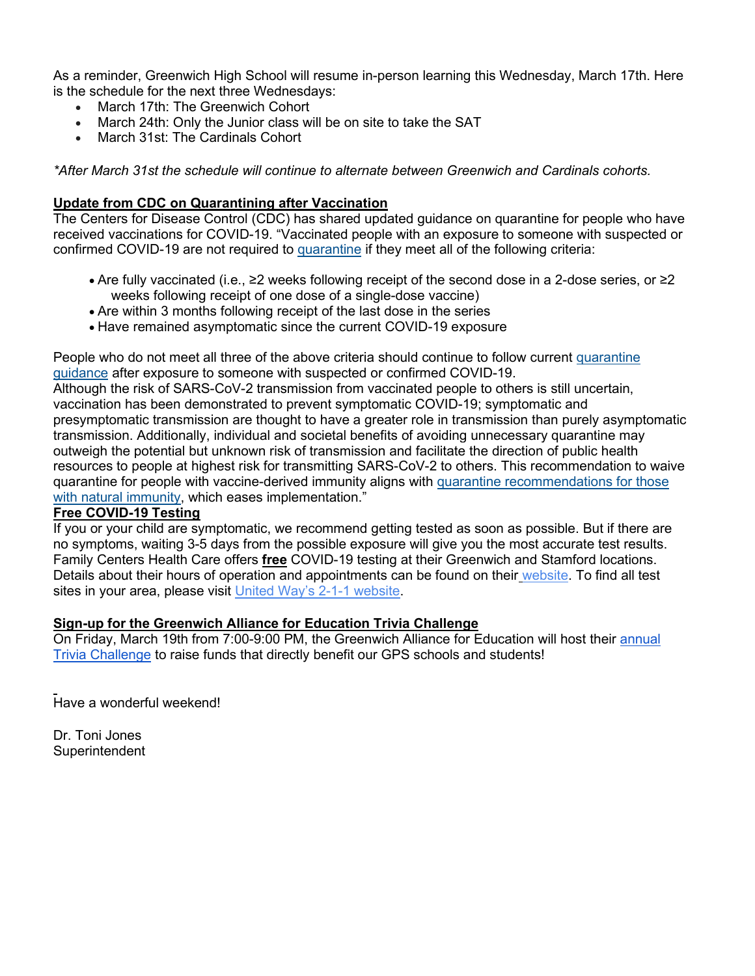As a reminder, Greenwich High School will resume in-person learning this Wednesday, March 17th. Here is the schedule for the next three Wednesdays:

- March 17th: The Greenwich Cohort
- March 24th: Only the Junior class will be on site to take the SAT
- March 31st: The Cardinals Cohort

*\*After March 31st the schedule will continue to alternate between Greenwich and Cardinals cohorts.*

#### **Update from CDC on Quarantining after Vaccination**

The Centers for Disease Control (CDC) has shared updated guidance on quarantine for people who have received vaccinations for COVID-19. "Vaccinated people with an exposure to someone with suspected or confirmed COVID-19 are not required to [quarantine](https://www.cdc.gov/coronavirus/2019-ncov/if-you-are-sick/quarantine.html) if they meet all of the following criteria:

- Are fully vaccinated (i.e., ≥2 weeks following receipt of the second dose in a 2-dose series, or ≥2 weeks following receipt of one dose of a single-dose vaccine)
- Are within 3 months following receipt of the last dose in the series
- Have remained asymptomatic since the current COVID-19 exposure

People who do not meet all three of the above criteria should continue to follow current [quarantine](https://www.cdc.gov/coronavirus/2019-ncov/if-you-are-sick/quarantine.html)  [guidance](https://www.cdc.gov/coronavirus/2019-ncov/if-you-are-sick/quarantine.html) after exposure to someone with suspected or confirmed COVID-19.

Although the risk of SARS-CoV-2 transmission from vaccinated people to others is still uncertain, vaccination has been demonstrated to prevent symptomatic COVID-19; symptomatic and presymptomatic transmission are thought to have a greater role in transmission than purely asymptomatic transmission. Additionally, individual and societal benefits of avoiding unnecessary quarantine may outweigh the potential but unknown risk of transmission and facilitate the direction of public health resources to people at highest risk for transmitting SARS-CoV-2 to others. This recommendation to waive quarantine for people with vaccine-derived immunity aligns with quarantine recommendations for those [with natural immunity,](https://www.cdc.gov/coronavirus/2019-ncov/hcp/duration-isolation.html) which eases implementation."

#### **Free COVID-19 Testing**

If you or your child are symptomatic, we recommend getting tested as soon as possible. But if there are no symptoms, waiting 3-5 days from the possible exposure will give you the most accurate test results. Family Centers Health Care offers **free** COVID-19 testing at their Greenwich and Stamford locations. Details about their hours of operation and appointments can be found on their [website.](https://www.familycenters.org/FamilyCentersHealthCare) To find all test sites in your area, please visit United Way's [2-1-1 website.](https://www.211ct.org/)

#### **Sign-up for the Greenwich Alliance for Education Trivia Challenge**

On Friday, March 19th from 7:00-9:00 PM, the Greenwich Alliance for Education will host their [annual](https://greenwichalliance.org/trivia-challenge/)  [Trivia Challenge](https://greenwichalliance.org/trivia-challenge/) to raise funds that directly benefit our GPS schools and students!

Have a wonderful weekend!

Dr. Toni Jones **Superintendent**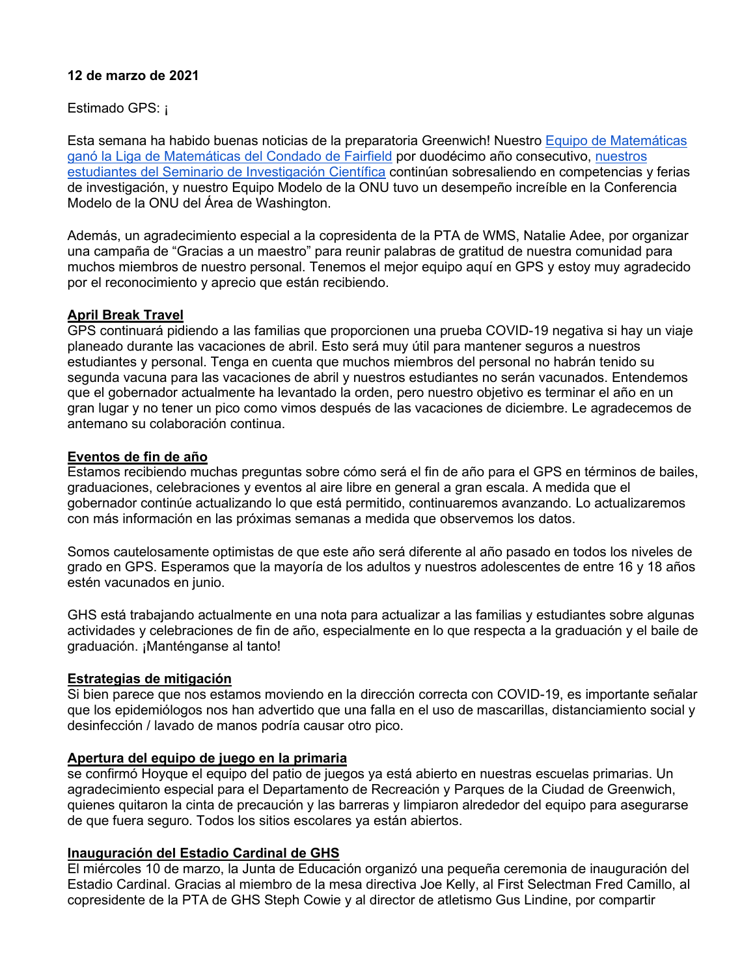## **12 de marzo de 2021**

Estimado GPS: ¡

Esta semana ha habido buenas noticias de la preparatoria Greenwich! Nuestro [Equipo de Matemáticas](https://www.greenwichschools.org/departments/communications/news-social-media/story-details/%7Epost/ghs-math-team-wins-12th-consecutive-fairfield-county-title-20210309)  [ganó la Liga de Matemáticas del Condado de Fairfield](https://www.greenwichschools.org/departments/communications/news-social-media/story-details/%7Epost/ghs-math-team-wins-12th-consecutive-fairfield-county-title-20210309) por duodécimo año consecutivo, [nuestros](https://www.greenwichschools.org/departments/communications/news-social-media/story-details/%7Epost/ghs-science-research-students-excel-in-prestigious-competitions-20210309)  [estudiantes del Seminario de Investigación Científica](https://www.greenwichschools.org/departments/communications/news-social-media/story-details/%7Epost/ghs-science-research-students-excel-in-prestigious-competitions-20210309) continúan sobresaliendo en competencias y ferias de investigación, y nuestro Equipo Modelo de la ONU tuvo un desempeño increíble en la Conferencia Modelo de la ONU del Área de Washington.

Además, un agradecimiento especial a la copresidenta de la PTA de WMS, Natalie Adee, por organizar una campaña de "Gracias a un maestro" para reunir palabras de gratitud de nuestra comunidad para muchos miembros de nuestro personal. Tenemos el mejor equipo aquí en GPS y estoy muy agradecido por el reconocimiento y aprecio que están recibiendo.

## **April Break Travel**

GPS continuará pidiendo a las familias que proporcionen una prueba COVID-19 negativa si hay un viaje planeado durante las vacaciones de abril. Esto será muy útil para mantener seguros a nuestros estudiantes y personal. Tenga en cuenta que muchos miembros del personal no habrán tenido su segunda vacuna para las vacaciones de abril y nuestros estudiantes no serán vacunados. Entendemos que el gobernador actualmente ha levantado la orden, pero nuestro objetivo es terminar el año en un gran lugar y no tener un pico como vimos después de las vacaciones de diciembre. Le agradecemos de antemano su colaboración continua.

## **Eventos de fin de año**

Estamos recibiendo muchas preguntas sobre cómo será el fin de año para el GPS en términos de bailes, graduaciones, celebraciones y eventos al aire libre en general a gran escala. A medida que el gobernador continúe actualizando lo que está permitido, continuaremos avanzando. Lo actualizaremos con más información en las próximas semanas a medida que observemos los datos.

Somos cautelosamente optimistas de que este año será diferente al año pasado en todos los niveles de grado en GPS. Esperamos que la mayoría de los adultos y nuestros adolescentes de entre 16 y 18 años estén vacunados en junio.

GHS está trabajando actualmente en una nota para actualizar a las familias y estudiantes sobre algunas actividades y celebraciones de fin de año, especialmente en lo que respecta a la graduación y el baile de graduación. ¡Manténganse al tanto!

## **Estrategias de mitigación**

Si bien parece que nos estamos moviendo en la dirección correcta con COVID-19, es importante señalar que los epidemiólogos nos han advertido que una falla en el uso de mascarillas, distanciamiento social y desinfección / lavado de manos podría causar otro pico.

## **Apertura del equipo de juego en la primaria**

se confirmó Hoyque el equipo del patio de juegos ya está abierto en nuestras escuelas primarias. Un agradecimiento especial para el Departamento de Recreación y Parques de la Ciudad de Greenwich, quienes quitaron la cinta de precaución y las barreras y limpiaron alrededor del equipo para asegurarse de que fuera seguro. Todos los sitios escolares ya están abiertos.

## **Inauguración del Estadio Cardinal de GHS**

El miércoles 10 de marzo, la Junta de Educación organizó una pequeña ceremonia de inauguración del Estadio Cardinal. Gracias al miembro de la mesa directiva Joe Kelly, al First Selectman Fred Camillo, al copresidente de la PTA de GHS Steph Cowie y al director de atletismo Gus Lindine, por compartir